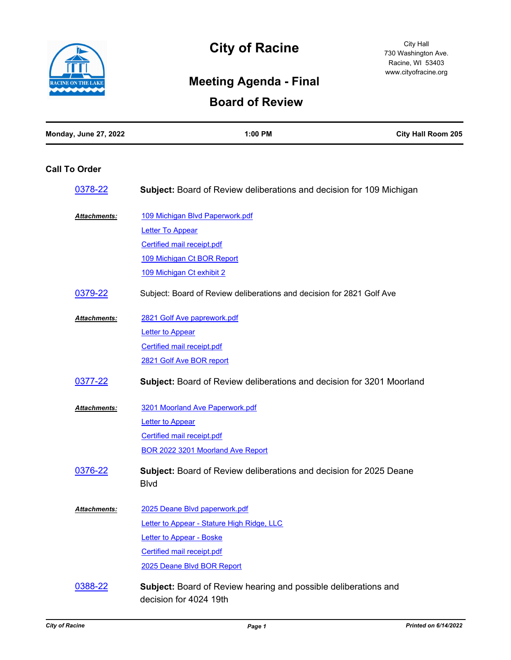

# **City of Racine**

## **Meeting Agenda - Final**

### **Board of Review**

### **Call To Order**

| 0378-22             | <b>Subject:</b> Board of Review deliberations and decision for 109 Michigan               |
|---------------------|-------------------------------------------------------------------------------------------|
| <b>Attachments:</b> | 109 Michigan Blvd Paperwork.pdf                                                           |
|                     | <b>Letter To Appear</b>                                                                   |
|                     | Certified mail receipt.pdf                                                                |
|                     | 109 Michigan Ct BOR Report                                                                |
|                     | 109 Michigan Ct exhibit 2                                                                 |
| 0379-22             | Subject: Board of Review deliberations and decision for 2821 Golf Ave                     |
| <b>Attachments:</b> | 2821 Golf Ave paprework.pdf                                                               |
|                     | <b>Letter to Appear</b>                                                                   |
|                     | <b>Certified mail receipt.pdf</b>                                                         |
|                     | 2821 Golf Ave BOR report                                                                  |
| 0377-22             | <b>Subject:</b> Board of Review deliberations and decision for 3201 Moorland              |
| Attachments:        | 3201 Moorland Ave Paperwork.pdf                                                           |
|                     | <b>Letter to Appear</b>                                                                   |
|                     | Certified mail receipt.pdf                                                                |
|                     | BOR 2022 3201 Moorland Ave Report                                                         |
| 0376-22             | Subject: Board of Review deliberations and decision for 2025 Deane<br><b>Blvd</b>         |
| Attachments:        | 2025 Deane Blvd paperwork.pdf                                                             |
|                     | Letter to Appear - Stature High Ridge, LLC                                                |
|                     | Letter to Appear - Boske                                                                  |
|                     | <b>Certified mail receipt.pdf</b>                                                         |
|                     | 2025 Deane Blvd BOR Report                                                                |
| 0388-22             | Subject: Board of Review hearing and possible deliberations and<br>decision for 4024 19th |